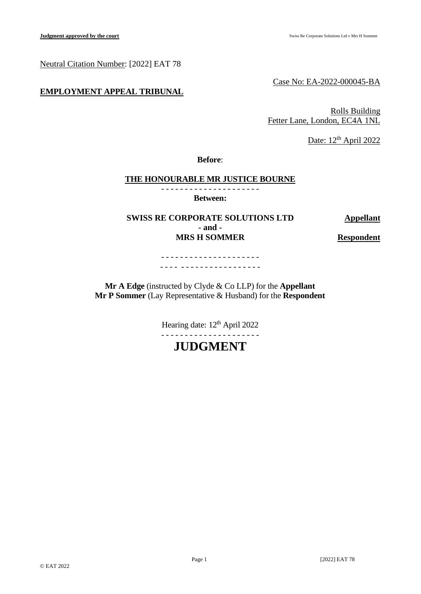Neutral Citation Number: [2022] EAT 78

# **EMPLOYMENT APPEAL TRIBUNAL**

Case No: EA-2022-000045-BA

Rolls Building Fetter Lane, London, EC4A 1NL

Date: 12<sup>th</sup> April 2022

**Before**:

# **THE HONOURABLE MR JUSTICE BOURNE**

- - - - - - - - - - - - - - - - - - - - - **Between:**

**SWISS RE CORPORATE SOLUTIONS LTD Appellant - and - MRS H** SOMMER **Respondent** 

- - - - - - - - - - - - - - - - - - - - - - - - - - - - - - - - - - - - - - - - - -

**Mr A Edge** (instructed by Clyde & Co LLP) for the **Appellant Mr P Sommer** (Lay Representative & Husband) for the **Respondent**

> Hearing date:  $12<sup>th</sup>$  April 2022 - - - - - - - - - - - - - - - - - - - - -

> > **JUDGMENT**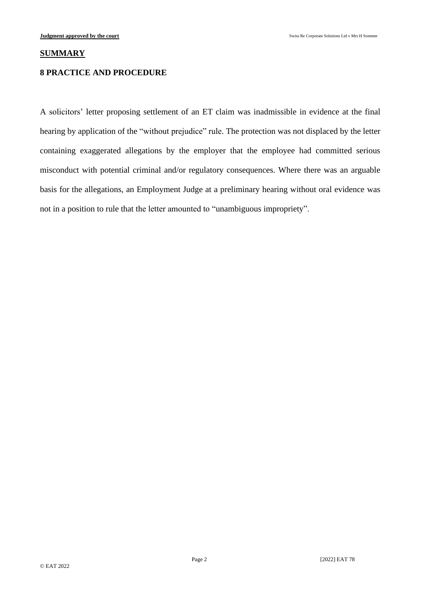## **SUMMARY**

# **8 PRACTICE AND PROCEDURE**

A solicitors' letter proposing settlement of an ET claim was inadmissible in evidence at the final hearing by application of the "without prejudice" rule. The protection was not displaced by the letter containing exaggerated allegations by the employer that the employee had committed serious misconduct with potential criminal and/or regulatory consequences. Where there was an arguable basis for the allegations, an Employment Judge at a preliminary hearing without oral evidence was not in a position to rule that the letter amounted to "unambiguous impropriety".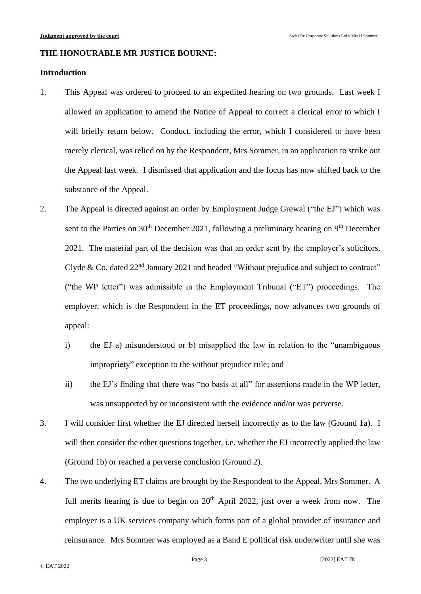### **THE HONOURABLE MR JUSTICE BOURNE:**

# **Introduction**

- 1. This Appeal was ordered to proceed to an expedited hearing on two grounds. Last week I allowed an application to amend the Notice of Appeal to correct a clerical error to which I will briefly return below. Conduct, including the error, which I considered to have been merely clerical, was relied on by the Respondent, Mrs Sommer, in an application to strike out the Appeal last week. I dismissed that application and the focus has now shifted back to the substance of the Appeal.
- 2. The Appeal is directed against an order by Employment Judge Grewal ("the EJ") which was sent to the Parties on  $30<sup>th</sup>$  December 2021, following a preliminary hearing on  $9<sup>th</sup>$  December 2021. The material part of the decision was that an order sent by the employer's solicitors, Clyde & Co, dated  $22<sup>nd</sup>$  January 2021 and headed "Without prejudice and subject to contract" ("the WP letter") was admissible in the Employment Tribunal ("ET") proceedings. The employer, which is the Respondent in the ET proceedings, now advances two grounds of appeal:
	- i) the EJ a) misunderstood or b) misapplied the law in relation to the "unambiguous impropriety" exception to the without prejudice rule; and
	- ii) the EJ's finding that there was "no basis at all" for assertions made in the WP letter, was unsupported by or inconsistent with the evidence and/or was perverse.
- 3. I will consider first whether the EJ directed herself incorrectly as to the law (Ground 1a). I will then consider the other questions together, i.e. whether the EJ incorrectly applied the law (Ground 1b) or reached a perverse conclusion (Ground 2).
- 4. The two underlying ET claims are brought by the Respondent to the Appeal, Mrs Sommer. A full merits hearing is due to begin on  $20<sup>th</sup>$  April 2022, just over a week from now. The employer is a UK services company which forms part of a global provider of insurance and reinsurance. Mrs Sommer was employed as a Band E political risk underwriter until she was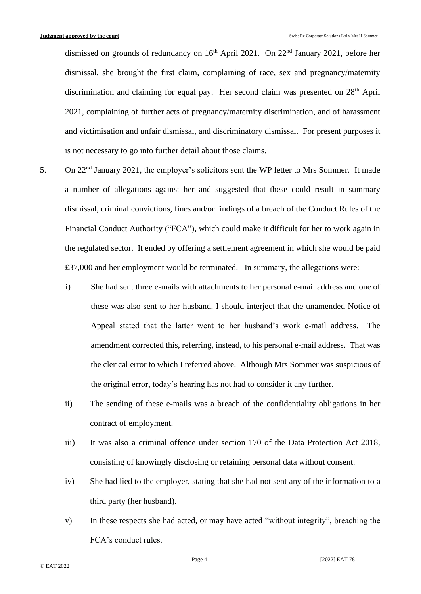dismissed on grounds of redundancy on  $16<sup>th</sup>$  April 2021. On 22<sup>nd</sup> January 2021, before her dismissal, she brought the first claim, complaining of race, sex and pregnancy/maternity discrimination and claiming for equal pay. Her second claim was presented on 28<sup>th</sup> April 2021, complaining of further acts of pregnancy/maternity discrimination, and of harassment and victimisation and unfair dismissal, and discriminatory dismissal. For present purposes it is not necessary to go into further detail about those claims.

- 5. On 22nd January 2021, the employer's solicitors sent the WP letter to Mrs Sommer. It made a number of allegations against her and suggested that these could result in summary dismissal, criminal convictions, fines and/or findings of a breach of the Conduct Rules of the Financial Conduct Authority ("FCA"), which could make it difficult for her to work again in the regulated sector. It ended by offering a settlement agreement in which she would be paid £37,000 and her employment would be terminated. In summary, the allegations were:
	- i) She had sent three e-mails with attachments to her personal e-mail address and one of these was also sent to her husband. I should interject that the unamended Notice of Appeal stated that the latter went to her husband's work e-mail address. The amendment corrected this, referring, instead, to his personal e-mail address. That was the clerical error to which I referred above. Although Mrs Sommer was suspicious of the original error, today's hearing has not had to consider it any further.
	- ii) The sending of these e-mails was a breach of the confidentiality obligations in her contract of employment.
	- iii) It was also a criminal offence under section 170 of the Data Protection Act 2018, consisting of knowingly disclosing or retaining personal data without consent.
	- iv) She had lied to the employer, stating that she had not sent any of the information to a third party (her husband).
	- v) In these respects she had acted, or may have acted "without integrity", breaching the FCA's conduct rules.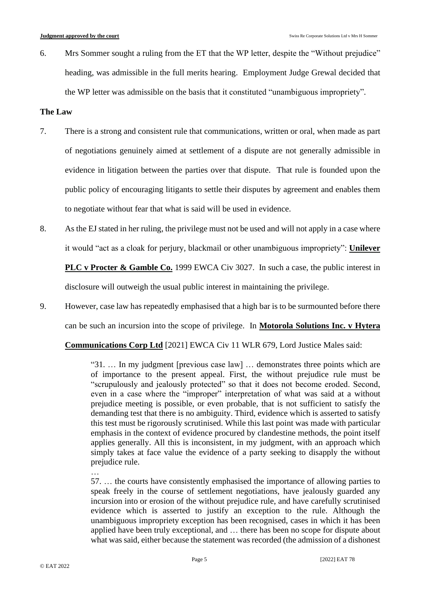6. Mrs Sommer sought a ruling from the ET that the WP letter, despite the "Without prejudice" heading, was admissible in the full merits hearing. Employment Judge Grewal decided that the WP letter was admissible on the basis that it constituted "unambiguous impropriety".

## **The Law**

- 7. There is a strong and consistent rule that communications, written or oral, when made as part of negotiations genuinely aimed at settlement of a dispute are not generally admissible in evidence in litigation between the parties over that dispute. That rule is founded upon the public policy of encouraging litigants to settle their disputes by agreement and enables them to negotiate without fear that what is said will be used in evidence.
- 8. As the EJ stated in her ruling, the privilege must not be used and will not apply in a case where it would "act as a cloak for perjury, blackmail or other unambiguous impropriety": **Unilever**

**PLC v Procter & Gamble Co.** 1999 EWCA Civ 3027. In such a case, the public interest in

disclosure will outweigh the usual public interest in maintaining the privilege.

9. However, case law has repeatedly emphasised that a high bar is to be surmounted before there

can be such an incursion into the scope of privilege. In **Motorola Solutions Inc. v Hytera** 

**Communications Corp Ltd** [2021] EWCA Civ 11 WLR 679, Lord Justice Males said:

"31. … In my judgment [previous case law] … demonstrates three points which are of importance to the present appeal. First, the without prejudice rule must be "scrupulously and jealously protected" so that it does not become eroded. Second, even in a case where the "improper" interpretation of what was said at a without prejudice meeting is possible, or even probable, that is not sufficient to satisfy the demanding test that there is no ambiguity. Third, evidence which is asserted to satisfy this test must be rigorously scrutinised. While this last point was made with particular emphasis in the context of evidence procured by clandestine methods, the point itself applies generally. All this is inconsistent, in my judgment, with an approach which simply takes at face value the evidence of a party seeking to disapply the without prejudice rule.

…

57. … the courts have consistently emphasised the importance of allowing parties to speak freely in the course of settlement negotiations, have jealously guarded any incursion into or erosion of the without prejudice rule, and have carefully scrutinised evidence which is asserted to justify an exception to the rule. Although the unambiguous impropriety exception has been recognised, cases in which it has been applied have been truly exceptional, and … there has been no scope for dispute about what was said, either because the statement was recorded (the admission of a dishonest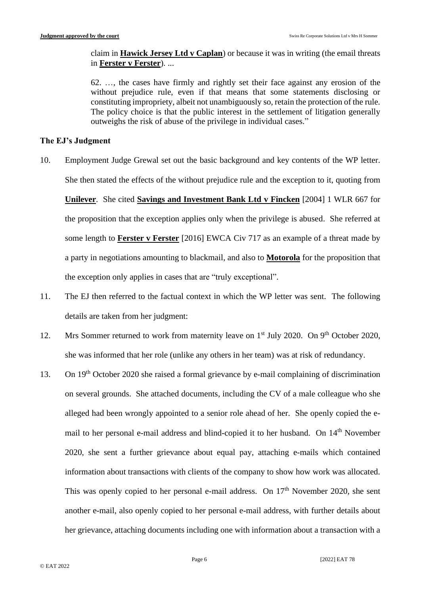claim in **Hawick Jersey Ltd v Caplan**) or because it was in writing (the email threats in **Ferster v Ferster**). ...

62. …, the cases have firmly and rightly set their face against any erosion of the without prejudice rule, even if that means that some statements disclosing or constituting impropriety, albeit not unambiguously so, retain the protection of the rule. The policy choice is that the public interest in the settlement of litigation generally outweighs the risk of abuse of the privilege in individual cases."

## **The EJ's Judgment**

- 10. Employment Judge Grewal set out the basic background and key contents of the WP letter. She then stated the effects of the without prejudice rule and the exception to it, quoting from **Unilever**. She cited **Savings and Investment Bank Ltd v Fincken** [2004] 1 WLR 667 for the proposition that the exception applies only when the privilege is abused. She referred at some length to **Ferster v Ferster** [2016] EWCA Civ 717 as an example of a threat made by a party in negotiations amounting to blackmail, and also to **Motorola** for the proposition that the exception only applies in cases that are "truly exceptional".
- 11. The EJ then referred to the factual context in which the WP letter was sent. The following details are taken from her judgment:
- 12. Mrs Sommer returned to work from maternity leave on  $1<sup>st</sup>$  July 2020. On 9<sup>th</sup> October 2020, she was informed that her role (unlike any others in her team) was at risk of redundancy.
- 13. On 19<sup>th</sup> October 2020 she raised a formal grievance by e-mail complaining of discrimination on several grounds. She attached documents, including the CV of a male colleague who she alleged had been wrongly appointed to a senior role ahead of her. She openly copied the email to her personal e-mail address and blind-copied it to her husband. On 14<sup>th</sup> November 2020, she sent a further grievance about equal pay, attaching e-mails which contained information about transactions with clients of the company to show how work was allocated. This was openly copied to her personal e-mail address. On  $17<sup>th</sup>$  November 2020, she sent another e-mail, also openly copied to her personal e-mail address, with further details about her grievance, attaching documents including one with information about a transaction with a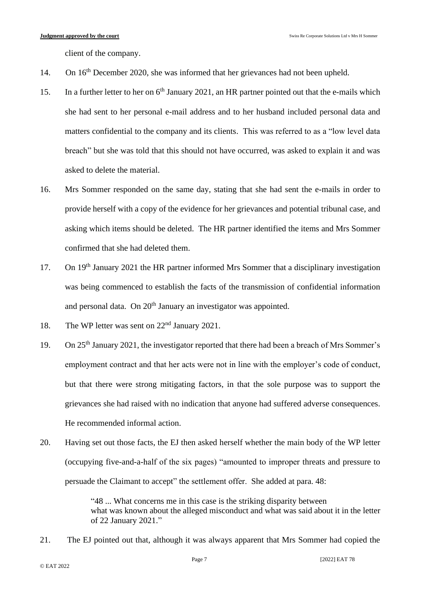client of the company.

- 14. On 16th December 2020, she was informed that her grievances had not been upheld.
- 15. In a further letter to her on 6<sup>th</sup> January 2021, an HR partner pointed out that the e-mails which she had sent to her personal e-mail address and to her husband included personal data and matters confidential to the company and its clients. This was referred to as a "low level data breach" but she was told that this should not have occurred, was asked to explain it and was asked to delete the material.
- 16. Mrs Sommer responded on the same day, stating that she had sent the e-mails in order to provide herself with a copy of the evidence for her grievances and potential tribunal case, and asking which items should be deleted. The HR partner identified the items and Mrs Sommer confirmed that she had deleted them.
- 17. On 19<sup>th</sup> January 2021 the HR partner informed Mrs Sommer that a disciplinary investigation was being commenced to establish the facts of the transmission of confidential information and personal data. On  $20<sup>th</sup>$  January an investigator was appointed.
- 18. The WP letter was sent on 22<sup>nd</sup> January 2021.
- 19. On 25th January 2021, the investigator reported that there had been a breach of Mrs Sommer's employment contract and that her acts were not in line with the employer's code of conduct, but that there were strong mitigating factors, in that the sole purpose was to support the grievances she had raised with no indication that anyone had suffered adverse consequences. He recommended informal action.
- 20. Having set out those facts, the EJ then asked herself whether the main body of the WP letter (occupying five-and-a-half of the six pages) "amounted to improper threats and pressure to persuade the Claimant to accept" the settlement offer. She added at para. 48:

"48 ... What concerns me in this case is the striking disparity between what was known about the alleged misconduct and what was said about it in the letter of 22 January 2021."

21. The EJ pointed out that, although it was always apparent that Mrs Sommer had copied the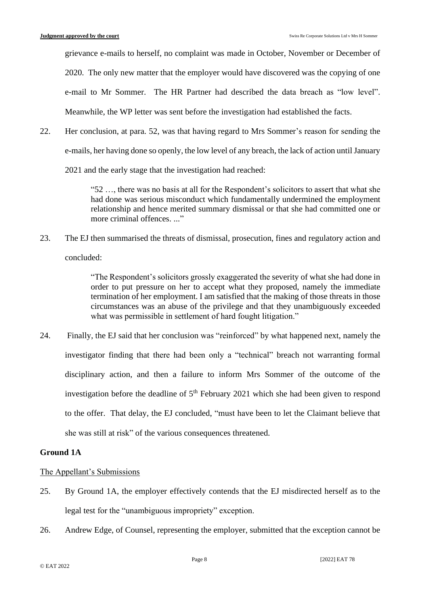grievance e-mails to herself, no complaint was made in October, November or December of

2020. The only new matter that the employer would have discovered was the copying of one

e-mail to Mr Sommer. The HR Partner had described the data breach as "low level".

Meanwhile, the WP letter was sent before the investigation had established the facts.

22. Her conclusion, at para. 52, was that having regard to Mrs Sommer's reason for sending the e-mails, her having done so openly, the low level of any breach, the lack of action until January

2021 and the early stage that the investigation had reached:

"52 …, there was no basis at all for the Respondent's solicitors to assert that what she had done was serious misconduct which fundamentally undermined the employment relationship and hence merited summary dismissal or that she had committed one or more criminal offences. ..."

23. The EJ then summarised the threats of dismissal, prosecution, fines and regulatory action and

concluded:

"The Respondent's solicitors grossly exaggerated the severity of what she had done in order to put pressure on her to accept what they proposed, namely the immediate termination of her employment. I am satisfied that the making of those threats in those circumstances was an abuse of the privilege and that they unambiguously exceeded what was permissible in settlement of hard fought litigation."

24. Finally, the EJ said that her conclusion was "reinforced" by what happened next, namely the investigator finding that there had been only a "technical" breach not warranting formal disciplinary action, and then a failure to inform Mrs Sommer of the outcome of the investigation before the deadline of  $5<sup>th</sup>$  February 2021 which she had been given to respond to the offer. That delay, the EJ concluded, "must have been to let the Claimant believe that she was still at risk" of the various consequences threatened.

# **Ground 1A**

# The Appellant's Submissions

- 25. By Ground 1A, the employer effectively contends that the EJ misdirected herself as to the legal test for the "unambiguous impropriety" exception.
- 26. Andrew Edge, of Counsel, representing the employer, submitted that the exception cannot be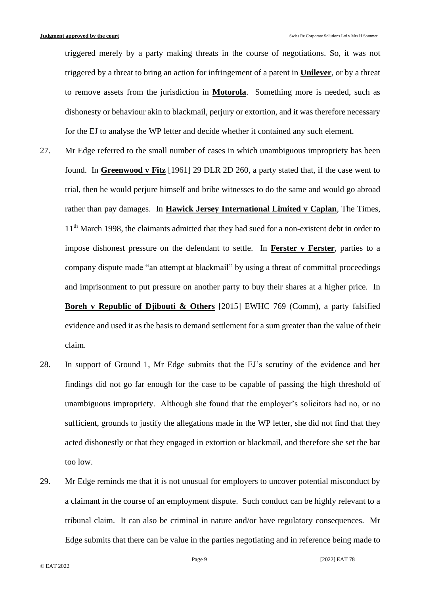triggered merely by a party making threats in the course of negotiations. So, it was not triggered by a threat to bring an action for infringement of a patent in **Unilever**, or by a threat to remove assets from the jurisdiction in **Motorola**. Something more is needed, such as dishonesty or behaviour akin to blackmail, perjury or extortion, and it was therefore necessary for the EJ to analyse the WP letter and decide whether it contained any such element.

- 27. Mr Edge referred to the small number of cases in which unambiguous impropriety has been found. In **Greenwood v Fitz** [1961] 29 DLR 2D 260, a party stated that, if the case went to trial, then he would perjure himself and bribe witnesses to do the same and would go abroad rather than pay damages. In **Hawick Jersey International Limited v Caplan**, The Times, 11<sup>th</sup> March 1998, the claimants admitted that they had sued for a non-existent debt in order to impose dishonest pressure on the defendant to settle. In **Ferster v Ferster**, parties to a company dispute made "an attempt at blackmail" by using a threat of committal proceedings and imprisonment to put pressure on another party to buy their shares at a higher price. In **Boreh v Republic of Djibouti & Others** [2015] EWHC 769 (Comm), a party falsified evidence and used it as the basis to demand settlement for a sum greater than the value of their claim.
- 28. In support of Ground 1, Mr Edge submits that the EJ's scrutiny of the evidence and her findings did not go far enough for the case to be capable of passing the high threshold of unambiguous impropriety. Although she found that the employer's solicitors had no, or no sufficient, grounds to justify the allegations made in the WP letter, she did not find that they acted dishonestly or that they engaged in extortion or blackmail, and therefore she set the bar too low.
- 29. Mr Edge reminds me that it is not unusual for employers to uncover potential misconduct by a claimant in the course of an employment dispute. Such conduct can be highly relevant to a tribunal claim. It can also be criminal in nature and/or have regulatory consequences. Mr Edge submits that there can be value in the parties negotiating and in reference being made to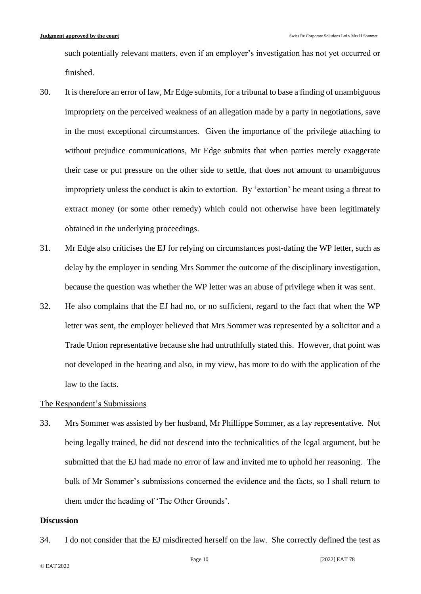such potentially relevant matters, even if an employer's investigation has not yet occurred or finished.

- 30. It is therefore an error of law, Mr Edge submits, for a tribunal to base a finding of unambiguous impropriety on the perceived weakness of an allegation made by a party in negotiations, save in the most exceptional circumstances. Given the importance of the privilege attaching to without prejudice communications, Mr Edge submits that when parties merely exaggerate their case or put pressure on the other side to settle, that does not amount to unambiguous impropriety unless the conduct is akin to extortion. By 'extortion' he meant using a threat to extract money (or some other remedy) which could not otherwise have been legitimately obtained in the underlying proceedings.
- 31. Mr Edge also criticises the EJ for relying on circumstances post-dating the WP letter, such as delay by the employer in sending Mrs Sommer the outcome of the disciplinary investigation, because the question was whether the WP letter was an abuse of privilege when it was sent.
- 32. He also complains that the EJ had no, or no sufficient, regard to the fact that when the WP letter was sent, the employer believed that Mrs Sommer was represented by a solicitor and a Trade Union representative because she had untruthfully stated this. However, that point was not developed in the hearing and also, in my view, has more to do with the application of the law to the facts.

#### The Respondent's Submissions

33. Mrs Sommer was assisted by her husband, Mr Phillippe Sommer, as a lay representative. Not being legally trained, he did not descend into the technicalities of the legal argument, but he submitted that the EJ had made no error of law and invited me to uphold her reasoning. The bulk of Mr Sommer's submissions concerned the evidence and the facts, so I shall return to them under the heading of 'The Other Grounds'.

## **Discussion**

34. I do not consider that the EJ misdirected herself on the law. She correctly defined the test as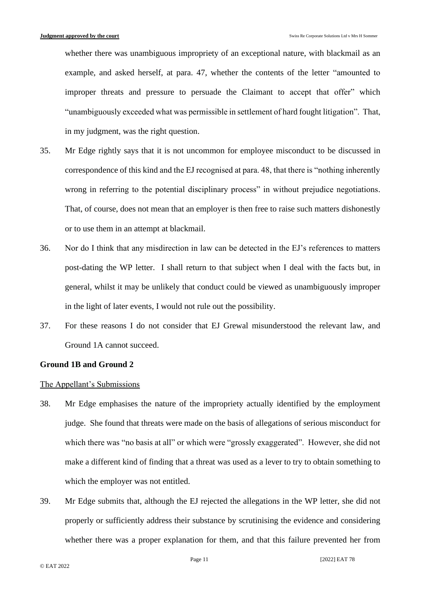whether there was unambiguous impropriety of an exceptional nature, with blackmail as an example, and asked herself, at para. 47, whether the contents of the letter "amounted to improper threats and pressure to persuade the Claimant to accept that offer" which "unambiguously exceeded what was permissible in settlement of hard fought litigation". That, in my judgment, was the right question.

- 35. Mr Edge rightly says that it is not uncommon for employee misconduct to be discussed in correspondence of this kind and the EJ recognised at para. 48, that there is "nothing inherently wrong in referring to the potential disciplinary process" in without prejudice negotiations. That, of course, does not mean that an employer is then free to raise such matters dishonestly or to use them in an attempt at blackmail.
- 36. Nor do I think that any misdirection in law can be detected in the EJ's references to matters post-dating the WP letter. I shall return to that subject when I deal with the facts but, in general, whilst it may be unlikely that conduct could be viewed as unambiguously improper in the light of later events, I would not rule out the possibility.
- 37. For these reasons I do not consider that EJ Grewal misunderstood the relevant law, and Ground 1A cannot succeed.

#### **Ground 1B and Ground 2**

#### The Appellant's Submissions

- 38. Mr Edge emphasises the nature of the impropriety actually identified by the employment judge. She found that threats were made on the basis of allegations of serious misconduct for which there was "no basis at all" or which were "grossly exaggerated". However, she did not make a different kind of finding that a threat was used as a lever to try to obtain something to which the employer was not entitled.
- 39. Mr Edge submits that, although the EJ rejected the allegations in the WP letter, she did not properly or sufficiently address their substance by scrutinising the evidence and considering whether there was a proper explanation for them, and that this failure prevented her from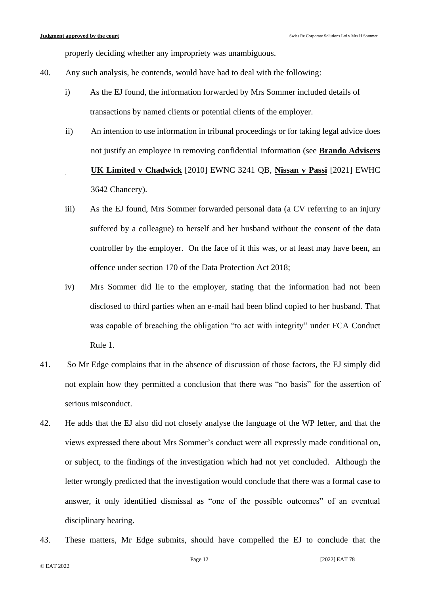properly deciding whether any impropriety was unambiguous.

- 40. Any such analysis, he contends, would have had to deal with the following:
	- i) As the EJ found, the information forwarded by Mrs Sommer included details of transactions by named clients or potential clients of the employer.
	- ii) An intention to use information in tribunal proceedings or for taking legal advice does not justify an employee in removing confidential information (see **Brando Advisers UK Limited v Chadwick** [2010] EWNC 3241 QB, **Nissan v Passi** [2021] EWHC 3642 Chancery).
	- iii) As the EJ found, Mrs Sommer forwarded personal data (a CV referring to an injury suffered by a colleague) to herself and her husband without the consent of the data controller by the employer. On the face of it this was, or at least may have been, an offence under section 170 of the Data Protection Act 2018;
	- iv) Mrs Sommer did lie to the employer, stating that the information had not been disclosed to third parties when an e-mail had been blind copied to her husband. That was capable of breaching the obligation "to act with integrity" under FCA Conduct Rule 1.
- 41. So Mr Edge complains that in the absence of discussion of those factors, the EJ simply did not explain how they permitted a conclusion that there was "no basis" for the assertion of serious misconduct.
- 42. He adds that the EJ also did not closely analyse the language of the WP letter, and that the views expressed there about Mrs Sommer's conduct were all expressly made conditional on, or subject, to the findings of the investigation which had not yet concluded. Although the letter wrongly predicted that the investigation would conclude that there was a formal case to answer, it only identified dismissal as "one of the possible outcomes" of an eventual disciplinary hearing.
- 43. These matters, Mr Edge submits, should have compelled the EJ to conclude that the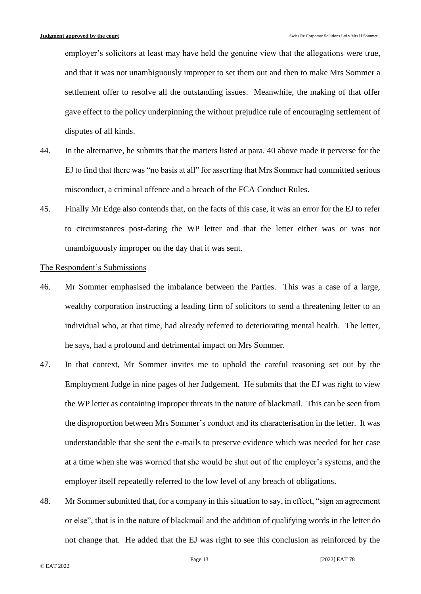employer's solicitors at least may have held the genuine view that the allegations were true, and that it was not unambiguously improper to set them out and then to make Mrs Sommer a settlement offer to resolve all the outstanding issues. Meanwhile, the making of that offer gave effect to the policy underpinning the without prejudice rule of encouraging settlement of disputes of all kinds.

- 44. In the alternative, he submits that the matters listed at para. 40 above made it perverse for the EJ to find that there was "no basis at all" for asserting that Mrs Sommer had committed serious misconduct, a criminal offence and a breach of the FCA Conduct Rules.
- 45. Finally Mr Edge also contends that, on the facts of this case, it was an error for the EJ to refer to circumstances post-dating the WP letter and that the letter either was or was not unambiguously improper on the day that it was sent.

### The Respondent's Submissions

- 46. Mr Sommer emphasised the imbalance between the Parties. This was a case of a large, wealthy corporation instructing a leading firm of solicitors to send a threatening letter to an individual who, at that time, had already referred to deteriorating mental health. The letter, he says, had a profound and detrimental impact on Mrs Sommer.
- 47. In that context, Mr Sommer invites me to uphold the careful reasoning set out by the Employment Judge in nine pages of her Judgement. He submits that the EJ was right to view the WP letter as containing improper threats in the nature of blackmail. This can be seen from the disproportion between Mrs Sommer's conduct and its characterisation in the letter. It was understandable that she sent the e-mails to preserve evidence which was needed for her case at a time when she was worried that she would be shut out of the employer's systems, and the employer itself repeatedly referred to the low level of any breach of obligations.
- 48. Mr Sommer submitted that, for a company in this situation to say, in effect, "sign an agreement or else", that is in the nature of blackmail and the addition of qualifying words in the letter do not change that. He added that the EJ was right to see this conclusion as reinforced by the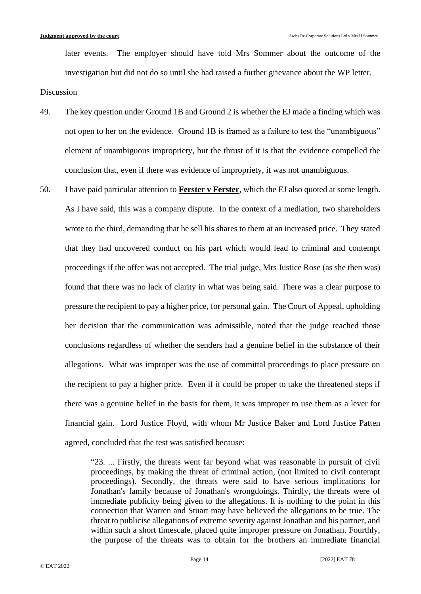later events. The employer should have told Mrs Sommer about the outcome of the investigation but did not do so until she had raised a further grievance about the WP letter.

#### Discussion

- 49. The key question under Ground 1B and Ground 2 is whether the EJ made a finding which was not open to her on the evidence. Ground 1B is framed as a failure to test the "unambiguous" element of unambiguous impropriety, but the thrust of it is that the evidence compelled the conclusion that, even if there was evidence of impropriety, it was not unambiguous.
- 50. I have paid particular attention to **Ferster v Ferster**, which the EJ also quoted at some length. As I have said, this was a company dispute. In the context of a mediation, two shareholders wrote to the third, demanding that he sell his shares to them at an increased price. They stated that they had uncovered conduct on his part which would lead to criminal and contempt proceedings if the offer was not accepted. The trial judge, Mrs Justice Rose (as she then was) found that there was no lack of clarity in what was being said. There was a clear purpose to pressure the recipient to pay a higher price, for personal gain. The Court of Appeal, upholding her decision that the communication was admissible, noted that the judge reached those conclusions regardless of whether the senders had a genuine belief in the substance of their allegations. What was improper was the use of committal proceedings to place pressure on the recipient to pay a higher price. Even if it could be proper to take the threatened steps if there was a genuine belief in the basis for them, it was improper to use them as a lever for financial gain. Lord Justice Floyd, with whom Mr Justice Baker and Lord Justice Patten agreed, concluded that the test was satisfied because:

"23. ... Firstly, the threats went far beyond what was reasonable in pursuit of civil proceedings, by making the threat of criminal action, (not limited to civil contempt proceedings). Secondly, the threats were said to have serious implications for Jonathan's family because of Jonathan's wrongdoings. Thirdly, the threats were of immediate publicity being given to the allegations. It is nothing to the point in this connection that Warren and Stuart may have believed the allegations to be true. The threat to publicise allegations of extreme severity against Jonathan and his partner, and within such a short timescale, placed quite improper pressure on Jonathan. Fourthly, the purpose of the threats was to obtain for the brothers an immediate financial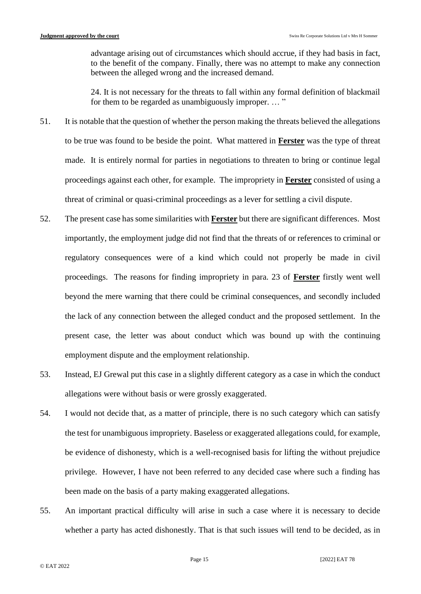advantage arising out of circumstances which should accrue, if they had basis in fact, to the benefit of the company. Finally, there was no attempt to make any connection between the alleged wrong and the increased demand.

24. It is not necessary for the threats to fall within any formal definition of blackmail for them to be regarded as unambiguously improper. ... "

- 51. It is notable that the question of whether the person making the threats believed the allegations to be true was found to be beside the point. What mattered in **Ferster** was the type of threat made. It is entirely normal for parties in negotiations to threaten to bring or continue legal proceedings against each other, for example. The impropriety in **Ferster** consisted of using a threat of criminal or quasi-criminal proceedings as a lever for settling a civil dispute.
- 52. The present case has some similarities with **Ferster** but there are significant differences. Most importantly, the employment judge did not find that the threats of or references to criminal or regulatory consequences were of a kind which could not properly be made in civil proceedings. The reasons for finding impropriety in para. 23 of **Ferster** firstly went well beyond the mere warning that there could be criminal consequences, and secondly included the lack of any connection between the alleged conduct and the proposed settlement. In the present case, the letter was about conduct which was bound up with the continuing employment dispute and the employment relationship.
- 53. Instead, EJ Grewal put this case in a slightly different category as a case in which the conduct allegations were without basis or were grossly exaggerated.
- 54. I would not decide that, as a matter of principle, there is no such category which can satisfy the test for unambiguous impropriety. Baseless or exaggerated allegations could, for example, be evidence of dishonesty, which is a well-recognised basis for lifting the without prejudice privilege. However, I have not been referred to any decided case where such a finding has been made on the basis of a party making exaggerated allegations.
- 55. An important practical difficulty will arise in such a case where it is necessary to decide whether a party has acted dishonestly. That is that such issues will tend to be decided, as in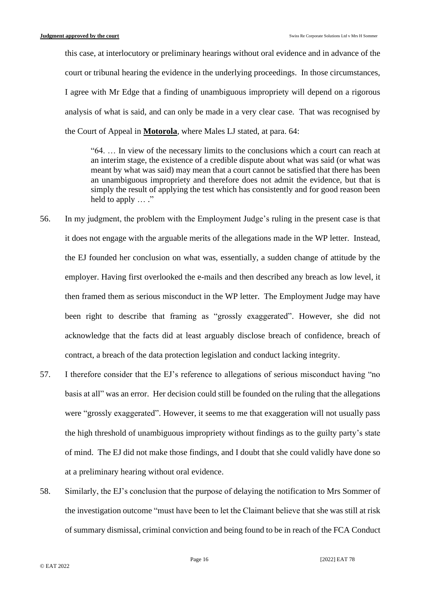this case, at interlocutory or preliminary hearings without oral evidence and in advance of the court or tribunal hearing the evidence in the underlying proceedings. In those circumstances, I agree with Mr Edge that a finding of unambiguous impropriety will depend on a rigorous analysis of what is said, and can only be made in a very clear case. That was recognised by the Court of Appeal in **Motorola**, where Males LJ stated, at para. 64:

"64. … In view of the necessary limits to the conclusions which a court can reach at an interim stage, the existence of a credible dispute about what was said (or what was meant by what was said) may mean that a court cannot be satisfied that there has been an unambiguous impropriety and therefore does not admit the evidence, but that is simply the result of applying the test which has consistently and for good reason been held to apply  $\dots$ ."

- 56. In my judgment, the problem with the Employment Judge's ruling in the present case is that it does not engage with the arguable merits of the allegations made in the WP letter. Instead, the EJ founded her conclusion on what was, essentially, a sudden change of attitude by the employer. Having first overlooked the e-mails and then described any breach as low level, it then framed them as serious misconduct in the WP letter. The Employment Judge may have been right to describe that framing as "grossly exaggerated". However, she did not acknowledge that the facts did at least arguably disclose breach of confidence, breach of contract, a breach of the data protection legislation and conduct lacking integrity.
- 57. I therefore consider that the EJ's reference to allegations of serious misconduct having "no basis at all" was an error. Her decision could still be founded on the ruling that the allegations were "grossly exaggerated". However, it seems to me that exaggeration will not usually pass the high threshold of unambiguous impropriety without findings as to the guilty party's state of mind. The EJ did not make those findings, and I doubt that she could validly have done so at a preliminary hearing without oral evidence.
- 58. Similarly, the EJ's conclusion that the purpose of delaying the notification to Mrs Sommer of the investigation outcome "must have been to let the Claimant believe that she was still at risk of summary dismissal, criminal conviction and being found to be in reach of the FCA Conduct